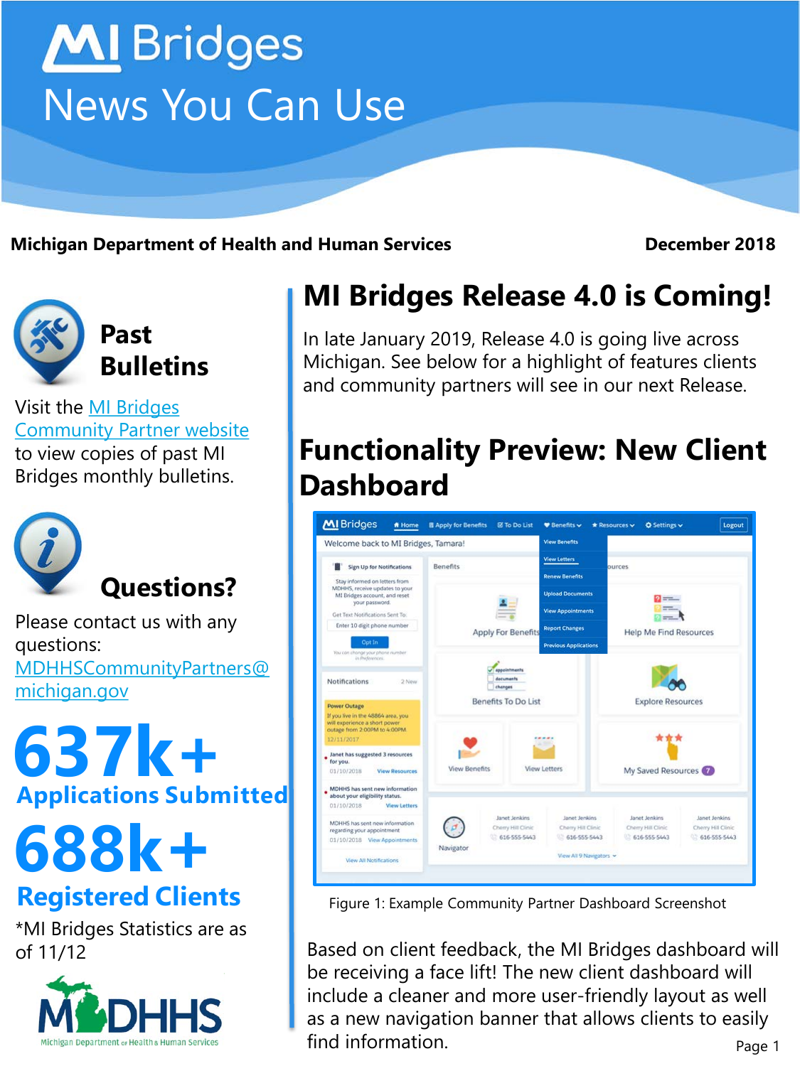# **MI** Bridges News You Can Use

**Michigan Department of Health and Human Services December 2018**



Visit the MI Bridges [Community Partner website](http://www.michigan.gov/mdhhs/0,5885,7-339-71551_82637---,00.html) to view copies of past MI Bridges monthly bulletins.



Please contact us with any questions: [MDHHSCommunityPartners@](mailto:MDHHSCommunityPartners@michigan.gov) [michigan.gov](mailto:MDHHSCommunityPartners@michigan.gov)

**Applications Submitted 637k+**

**688k+**

## **Registered Clients**

\*MI Bridges Statistics are as of 11/12



# **MI Bridges Release 4.0 is Coming!**

In late January 2019, Release 4.0 is going live across Michigan. See below for a highlight of features clients and community partners will see in our next Release.

# **Functionality Preview: New Client Dashboard**



Figure 1: Example Community Partner Dashboard Screenshot

Page 1 Based on client feedback, the MI Bridges dashboard will be receiving a face lift! The new client dashboard will include a cleaner and more user-friendly layout as well as a new navigation banner that allows clients to easily find information.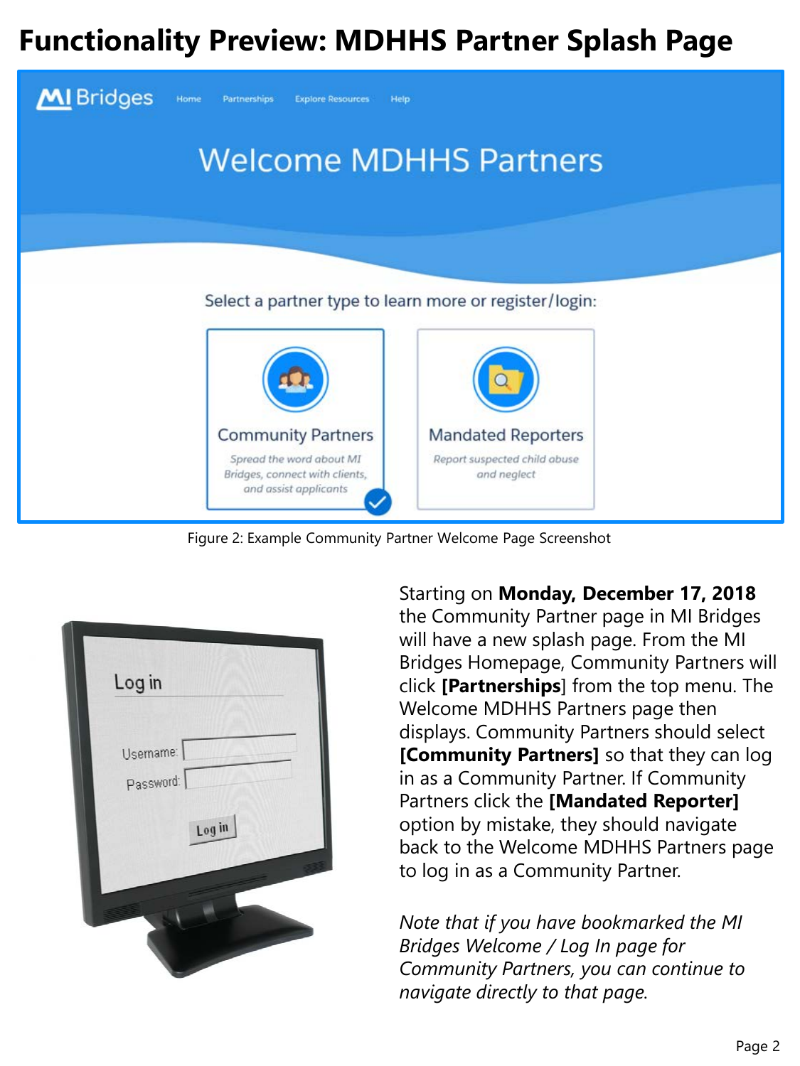## **Functionality Preview: MDHHS Partner Splash Page**



Figure 2: Example Community Partner Welcome Page Screenshot

| Log in    |        |
|-----------|--------|
|           |        |
| Username: |        |
| Password: |        |
|           | Log in |
|           |        |
|           |        |
|           |        |

Starting on **Monday, December 17, 2018**  the Community Partner page in MI Bridges will have a new splash page. From the MI Bridges Homepage, Community Partners will click **[Partnerships**] from the top menu. The Welcome MDHHS Partners page then displays. Community Partners should select **[Community Partners]** so that they can log in as a Community Partner. If Community Partners click the **[Mandated Reporter]** option by mistake, they should navigate back to the Welcome MDHHS Partners page to log in as a Community Partner.

*Note that if you have bookmarked the MI Bridges Welcome / Log In page for Community Partners, you can continue to navigate directly to that page.*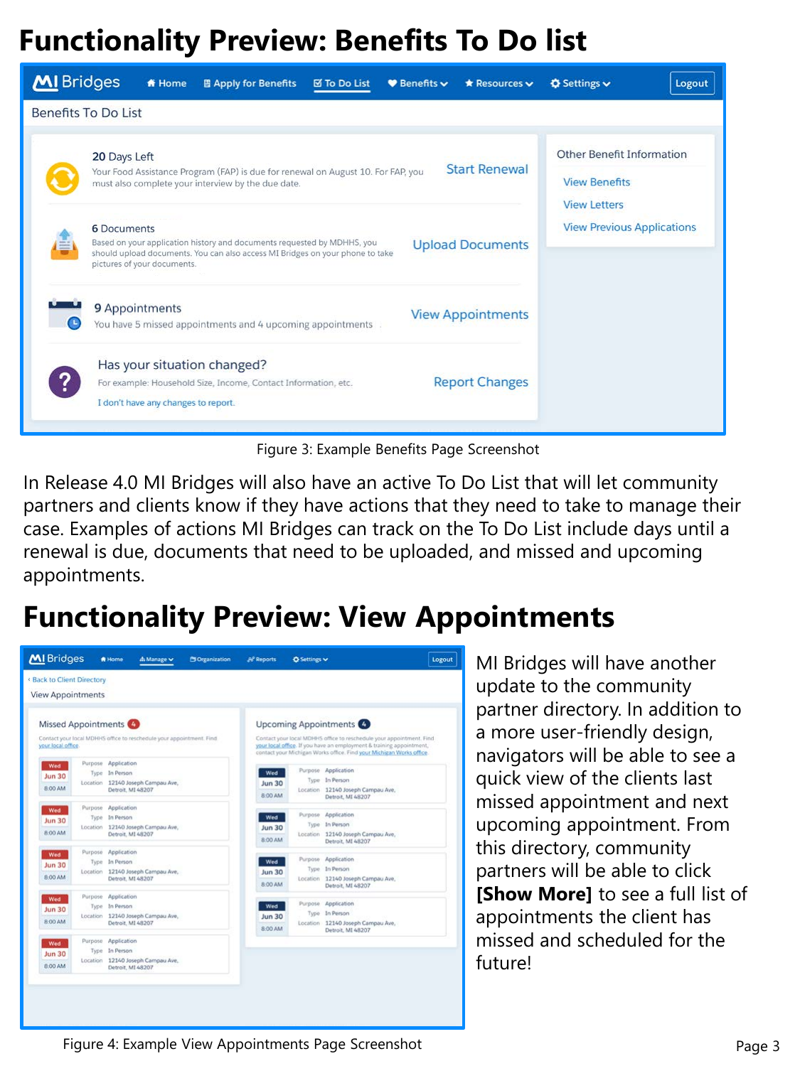# **Functionality Preview: Benefits To Do list**

| <b>MI</b> Bridges                                                                                                                                                                                                                        | <b>ff</b> Home                                                                                                                                                                 | <b>图 Apply for Benefits</b>                                    | <b>⊠ To Do List</b> | $\bullet$ Benefits $\bullet$ | * Resources v                     | <b>☆</b> Settings $\vee$                                                        | Logout |
|------------------------------------------------------------------------------------------------------------------------------------------------------------------------------------------------------------------------------------------|--------------------------------------------------------------------------------------------------------------------------------------------------------------------------------|----------------------------------------------------------------|---------------------|------------------------------|-----------------------------------|---------------------------------------------------------------------------------|--------|
| <b>Benefits To Do List</b>                                                                                                                                                                                                               |                                                                                                                                                                                |                                                                |                     |                              |                                   |                                                                                 |        |
|                                                                                                                                                                                                                                          | 20 Days Left<br><b>Start Renewal</b><br>Your Food Assistance Program (FAP) is due for renewal on August 10. For FAP, you<br>must also complete your interview by the due date. |                                                                |                     |                              |                                   | <b>Other Benefit Information</b><br><b>View Benefits</b><br><b>View Letters</b> |        |
| <b>6</b> Documents<br>Based on your application history and documents requested by MDHHS, you<br><b>Upload Documents</b><br>should upload documents. You can also access MI Bridges on your phone to take<br>pictures of your documents. |                                                                                                                                                                                |                                                                |                     |                              | <b>View Previous Applications</b> |                                                                                 |        |
|                                                                                                                                                                                                                                          | 9 Appointments                                                                                                                                                                 | You have 5 missed appointments and 4 upcoming appointments     |                     |                              | <b>View Appointments</b>          |                                                                                 |        |
| $\overline{?}$                                                                                                                                                                                                                           | Has your situation changed?<br>I don't have any changes to report.                                                                                                             | For example: Household Size, Income, Contact Information, etc. |                     |                              | <b>Report Changes</b>             |                                                                                 |        |

Figure 3: Example Benefits Page Screenshot

In Release 4.0 MI Bridges will also have an active To Do List that will let community partners and clients know if they have actions that they need to take to manage their case. Examples of actions MI Bridges can track on the To Do List include days until a renewal is due, documents that need to be uploaded, and missed and upcoming appointments.

# **Functionality Preview: View Appointments**



MI Bridges will have another update to the community partner directory. In addition to a more user-friendly design, navigators will be able to see a quick view of the clients last missed appointment and next upcoming appointment. From this directory, community partners will be able to click **[Show More]** to see a full list of appointments the client has missed and scheduled for the future!

Figure 4: Example View Appointments Page Screenshot